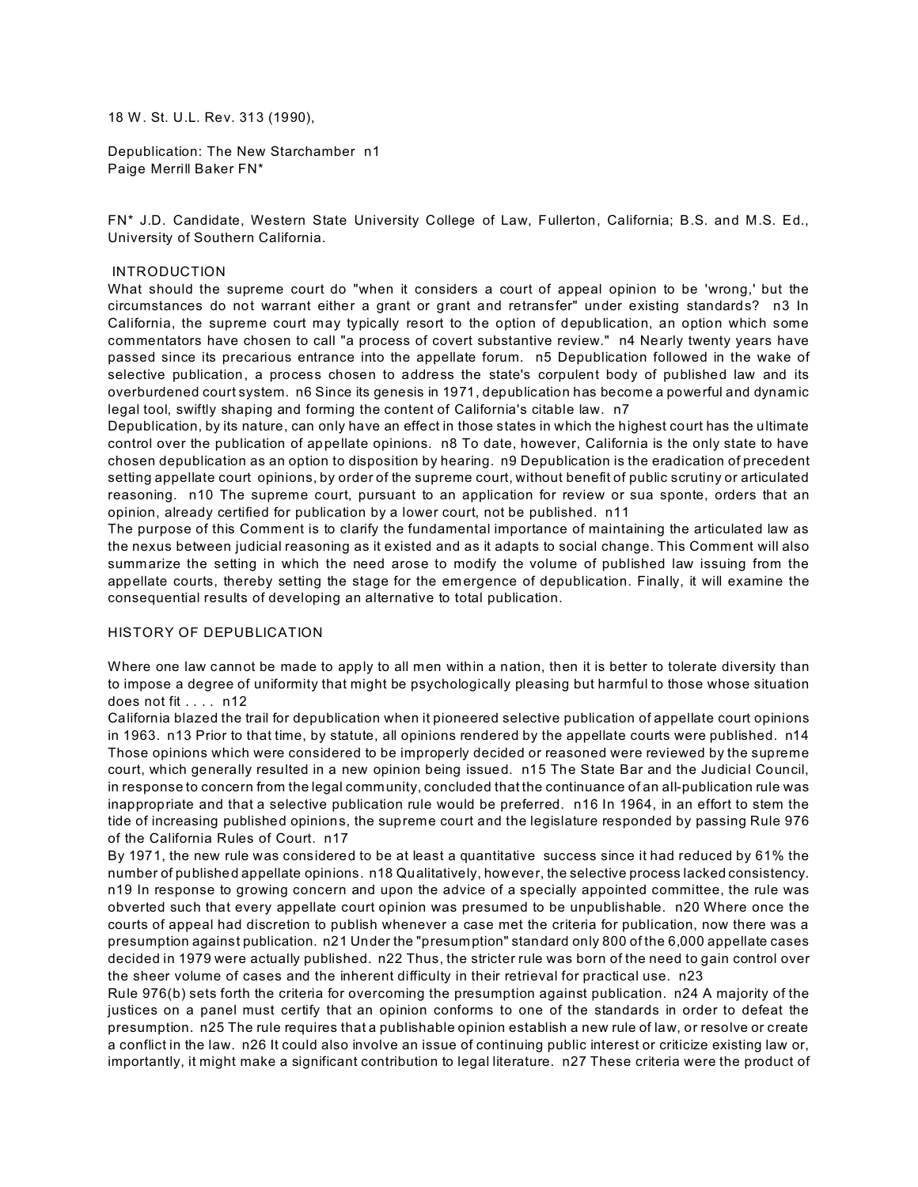18 W. St. U.L. Rev. 313 (1990),

Depublication: The New Starchamber n1 Paige Merrill Baker FN\*

FN\* J.D. Candidate, Western State University College of Law, Fullerton, California; B.S. and M.S. Ed., University of Southern California.

### INTRODUCTION

What should the supreme court do "when it considers a court of appeal opinion to be 'wrong,' but the circumstances do not warrant either a grant or grant and retransfer" under existing standards? n3 In California, the supreme court may typically resort to the option of depublication, an option which some commentators have chosen to call "a process of covert substantive review." n4 Nearly twenty years have passed since its precarious entrance into the appellate forum. n5 Depublication followed in the wake of selective publication, a process chosen to address the state's corpulent body of published law and its overburdened court system. n6 Since its genesis in 1971, depublication has become a powerful and dynamic legal tool, swiftly shaping and forming the content of California's citable law. n7

Depublication, by its nature, can only have an effect in those states in which the highest court has the ultimate control over the publication of appellate opinions. n8 To date, however, California is the only state to have chosen depublication as an option to disposition by hearing. n9 Depublication is the eradication of precedent setting appellate court opinions, by order of the supreme court, without benefit of public scrutiny or articulated reasoning. n10 The supreme court, pursuant to an application for review or sua sponte, orders that an opinion, already certified for publication by a lower court, not be published. n11

The purpose of this Comment is to clarify the fundamental importance of maintaining the articulated law as the nexus between judicial reasoning as it existed and as it adapts to social change. This Comment will also summarize the setting in which the need arose to modify the volume of published law issuing from the appellate courts, thereby setting the stage for the emergence of depublication. Finally, it will examine the consequential results of developing an alternative to total publication.

### HISTORY OF DEPUBLICATION

Where one law cannot be made to apply to all men within a nation, then it is better to tolerate diversity than to impose a degree of uniformity that might be psychologically pleasing but harmful to those whose situation does not fit  $\dots$  n12

California blazed the trail for depublication when it pioneered selective publication of appellate court opinions in 1963. n13 Prior to that time, by statute, all opinions rendered by the appellate courts were published. n14 Those opinions which were considered to be improperly decided or reasoned were reviewed by the supreme court, which generally resulted in a new opinion being issued. n15 The State Bar and the Judicial Council, in response to concern from the legal community, concluded that the continuance of an all-publication rule was inappropriate and that a selective publication rule would be preferred. n16 In 1964, in an effort to stem the tide of increasing published opinions, the supreme court and the legislature responded by passing Rule 976 of the California Rules of Court. n17

By 1971, the new rule was considered to be at least a quantitative success since it had reduced by 61% the number of published appellate opinions. n18 Qualitatively, however, the selective process lacked consistency. n19 In response to growing concern and upon the advice of a specially appointed committee, the rule was obverted such that every appellate court opinion was presumed to be unpublishable. n20 Where once the courts of appeal had discretion to publish whenever a case met the criteria for publication, now there was a presumption against publication. n21 Under the "presumption" standard only 800 of the 6,000 appellate cases decided in 1979 were actually published. n22 Thus, the stricter rule was born of the need to gain control over the sheer volume of cases and the inherent difficulty in their retrieval for practical use. n23

Rule 976(b) sets forth the criteria for overcoming the presumption against publication. n24 A majority of the justices on a panel must certify that an opinion conforms to one of the standards in order to defeat the presumption. n25 The rule requires that a publishable opinion establish a new rule of law, or resolve or create a conflict in the law. n26 It could also involve an issue of continuing public interest or criticize existing law or, importantly, it might make a significant contribution to legal literature. n27 These criteria were the product of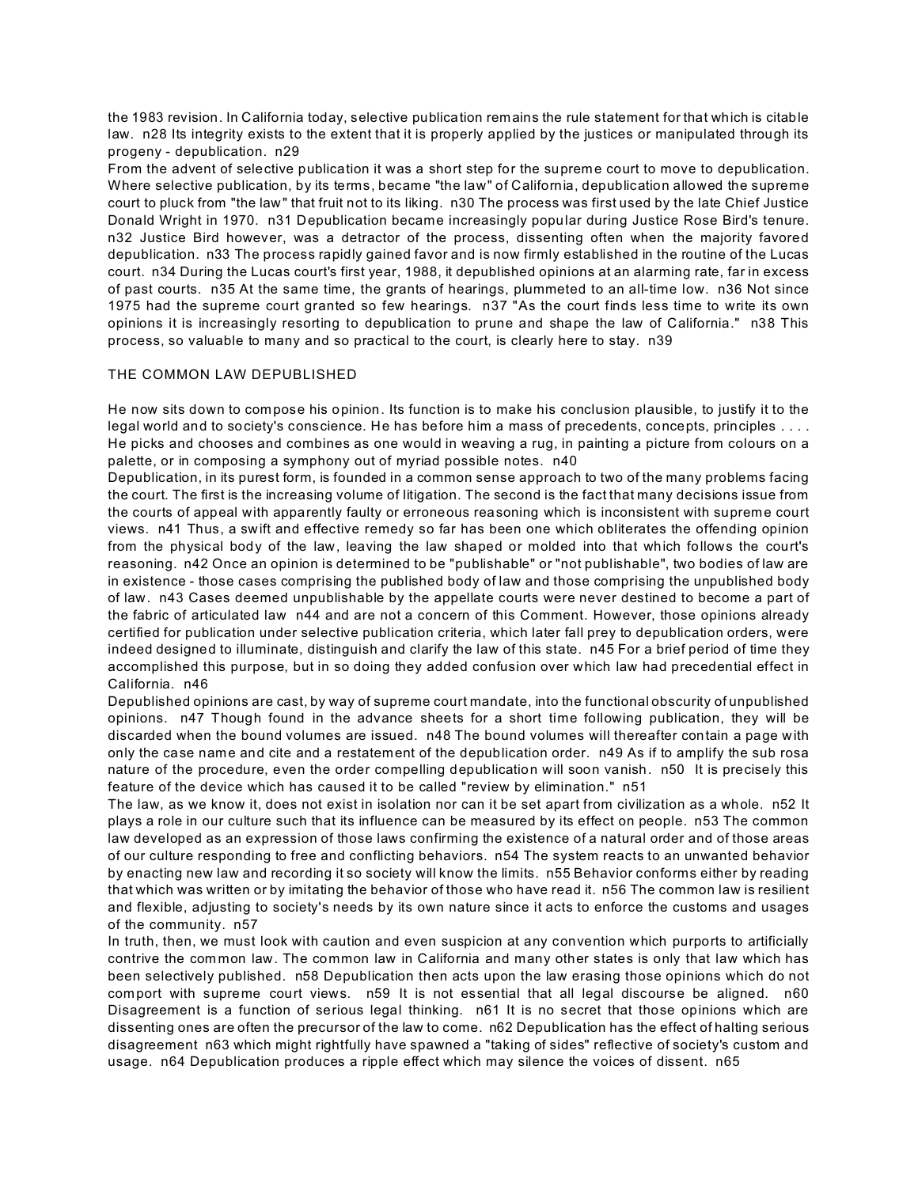the 1983 revision. In California today, selective publication remains the rule statement for that which is citable law. n28 Its integrity exists to the extent that it is properly applied by the justices or manipulated through its progeny - depublication. n29

From the advent of selective publication it was a short step for the supreme court to move to depublication. Where selective publication, by its terms, became "the law" of California, depublication allowed the supreme court to pluck from "the law" that fruit not to its liking. n30 The process was first used by the late Chief Justice Donald Wright in 1970. n31 Depublication became increasingly popular during Justice Rose Bird's tenure. n32 Justice Bird however, was a detractor of the process, dissenting often when the majority favored depublication. n33 The process rapidly gained favor and is now firmly established in the routine of the Lucas court. n34 During the Lucas court's first year, 1988, it depublished opinions at an alarming rate, far in excess of past courts. n35 At the same time, the grants of hearings, plummeted to an all-time low. n36 Not since 1975 had the supreme court granted so few hearings. n37 "As the court finds less time to write its own opinions it is increasingly resorting to depublication to prune and shape the law of California." n38 This process, so valuable to many and so practical to the court, is clearly here to stay. n39

# THE COMMON LAW DEPUBLISHED

He now sits down to com pose his opinion. Its function is to make his conclusion plausible, to justify it to the legal world and to society's conscience. He has before him a mass of precedents, concepts, principles . . . . He picks and chooses and combines as one would in weaving a rug, in painting a picture from colours on a palette, or in composing a symphony out of myriad possible notes. n40

Depublication, in its purest form, is founded in a common sense approach to two of the many problems facing the court. The first is the increasing volume of litigation. The second is the fact that many decisions issue from the courts of appeal with apparently faulty or erroneous reasoning which is inconsistent with supreme court views. n41 Thus, a swift and effective remedy so far has been one which obliterates the offending opinion from the physical body of the law, leaving the law shaped or molded into that which follows the court's reasoning. n42 Once an opinion is determined to be "publishable" or "not publishable", two bodies of law are in existence - those cases comprising the published body of law and those comprising the unpublished body of law. n43 Cases deemed unpublishable by the appellate courts were never destined to become a part of the fabric of articulated law n44 and are not a concern of this Comment. However, those opinions already certified for publication under selective publication criteria, which later fall prey to depublication orders, were indeed designed to illuminate, distinguish and clarify the law of this state. n45 For a brief period of time they accomplished this purpose, but in so doing they added confusion over which law had precedential effect in California. n46

Depublished opinions are cast, by way of supreme court mandate, into the functional obscurity of unpublished opinions. n47 Though found in the advance sheets for a short time following publication, they will be discarded when the bound volumes are issued. n48 The bound volumes will thereafter contain a page with only the case name and cite and a restatement of the depublication order. n49 As if to amplify the sub rosa nature of the procedure, even the order compelling depublication will soon vanish. n50 It is precisely this feature of the device which has caused it to be called "review by elimination." n51

The law, as we know it, does not exist in isolation nor can it be set apart from civilization as a whole. n52 It plays a role in our culture such that its influence can be measured by its effect on people. n53 The common law developed as an expression of those laws confirming the existence of a natural order and of those areas of our culture responding to free and conflicting behaviors. n54 The system reacts to an unwanted behavior by enacting new law and recording it so society will know the limits. n55 Behavior conforms either by reading that which was written or by imitating the behavior of those who have read it. n56 The common law is resilient and flexible, adjusting to society's needs by its own nature since it acts to enforce the customs and usages of the community. n57

In truth, then, we must look with caution and even suspicion at any convention which purports to artificially contrive the com mon law. The common law in California and many other states is only that law which has been selectively published. n58 Depublication then acts upon the law erasing those opinions which do not comport with supreme court views. n59 It is not essential that all legal discourse be aligned. n60 Disagreement is a function of serious legal thinking. n61 It is no secret that those opinions which are dissenting ones are often the precursor of the law to come. n62 Depublication has the effect of halting serious disagreement n63 which might rightfully have spawned a "taking of sides" reflective of society's custom and usage. n64 Depublication produces a ripple effect which may silence the voices of dissent. n65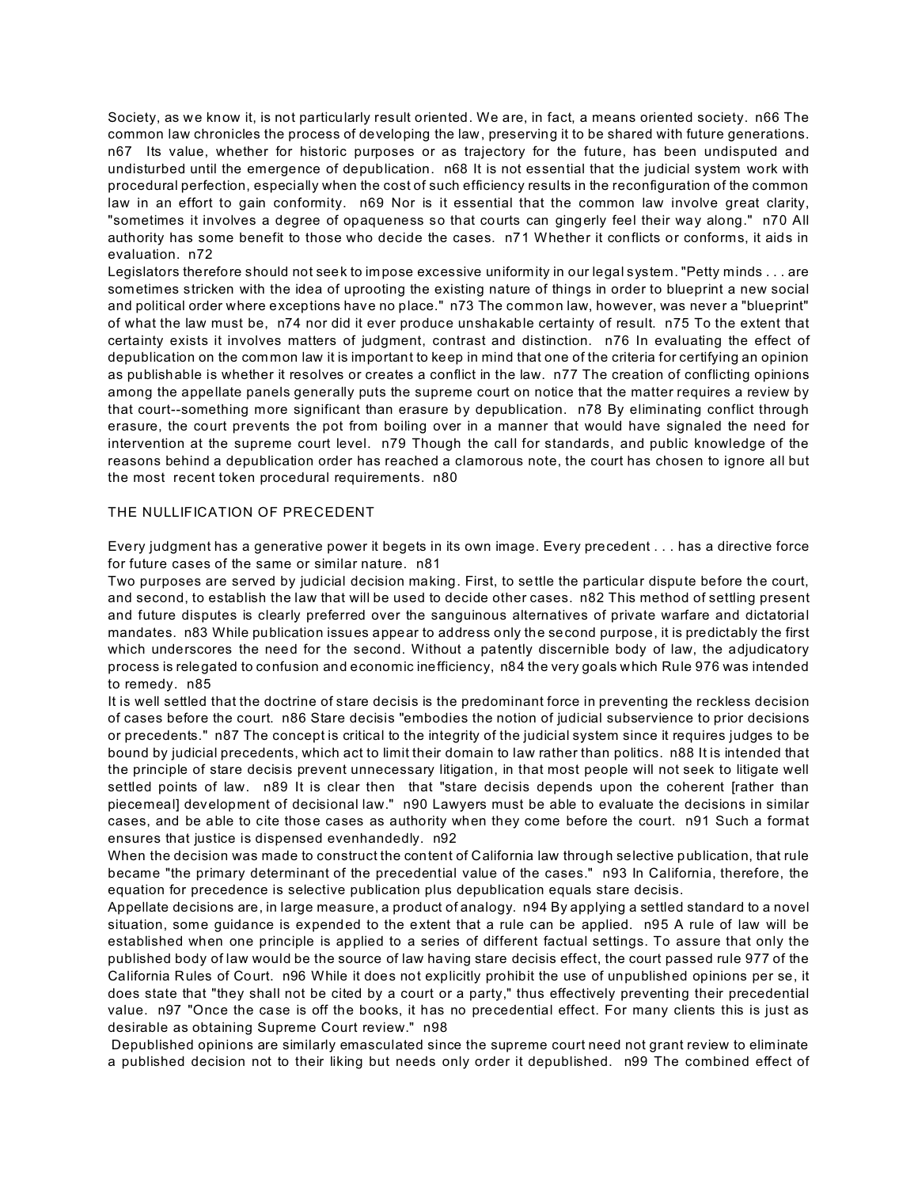Society, as we know it, is not particularly result oriented. We are, in fact, a means oriented society. n66 The common law chronicles the process of developing the law, preserving it to be shared with future generations. n67 Its value, whether for historic purposes or as trajectory for the future, has been undisputed and undisturbed until the emergence of depublication. n68 It is not essential that the judicial system work with procedural perfection, especially when the cost of such efficiency results in the reconfiguration of the common law in an effort to gain conformity. n69 Nor is it essential that the common law involve great clarity, "sometimes it involves a degree of opaqueness so that courts can gingerly feel their way along." n70 All authority has some benefit to those who decide the cases. n71 Whether it conflicts or conforms, it aids in evaluation. n72

Legislators therefore should not seek to impose excessive uniformity in our legal system. "Petty minds . . . are sometimes stricken with the idea of uprooting the existing nature of things in order to blueprint a new social and political order where exceptions have no place." n73 The common law, however, was never a "blueprint" of what the law must be, n74 nor did it ever produce unshakable certainty of result. n75 To the extent that certainty exists it involves matters of judgment, contrast and distinction. n76 In evaluating the effect of depublication on the com mon law it is important to keep in mind that one of the criteria for certifying an opinion as publishable is whether it resolves or creates a conflict in the law. n77 The creation of conflicting opinions among the appellate panels generally puts the supreme court on notice that the matter requires a review by that court--something more significant than erasure by depublication. n78 By eliminating conflict through erasure, the court prevents the pot from boiling over in a manner that would have signaled the need for intervention at the supreme court level. n79 Though the call for standards, and public knowledge of the reasons behind a depublication order has reached a clamorous note, the court has chosen to ignore all but the most recent token procedural requirements. n80

## THE NULLIFICATION OF PRECEDENT

Every judgment has a generative power it begets in its own image. Every precedent . . . has a directive force for future cases of the same or similar nature. n81

Two purposes are served by judicial decision making. First, to settle the particular dispute before the court, and second, to establish the law that will be used to decide other cases. n82 This method of settling present and future disputes is clearly preferred over the sanguinous alternatives of private warfare and dictatorial mandates. n83 While publication issues appear to address only the second purpose, it is predictably the first which underscores the need for the second. Without a patently discernible body of law, the adjudicatory process is relegated to confusion and economic inefficiency, n84 the very goals which Rule 976 was intended to remedy. n85

It is well settled that the doctrine of stare decisis is the predominant force in preventing the reckless decision of cases before the court. n86 Stare decisis "embodies the notion of judicial subservience to prior decisions or precedents." n87 The concept is critical to the integrity of the judicial system since it requires judges to be bound by judicial precedents, which act to limit their domain to law rather than politics. n88 It is intended that the principle of stare decisis prevent unnecessary litigation, in that most people will not seek to litigate well settled points of law. n89 It is clear then that "stare decisis depends upon the coherent [rather than piecemeal] development of decisional law." n90 Lawyers must be able to evaluate the decisions in similar cases, and be able to cite those cases as authority when they come before the court. n91 Such a format ensures that justice is dispensed evenhandedly. n92

When the decision was made to construct the content of California law through selective publication, that rule became "the primary determinant of the precedential value of the cases." n93 In California, therefore, the equation for precedence is selective publication plus depublication equals stare decisis.

Appellate decisions are, in large measure, a product of analogy. n94 By applying a settled standard to a novel situation, some guidance is expended to the extent that a rule can be applied. n95 A rule of law will be established when one principle is applied to a series of different factual settings. To assure that only the published body of law would be the source of law having stare decisis effect, the court passed rule 977 of the California Rules of Court. n96 While it does not explicitly prohibit the use of unpublished opinions per se, it does state that "they shall not be cited by a court or a party," thus effectively preventing their precedential value. n97 "Once the case is off the books, it has no precedential effect. For many clients this is just as desirable as obtaining Supreme Court review." n98

 Depublished opinions are similarly emasculated since the supreme court need not grant review to eliminate a published decision not to their liking but needs only order it depublished. n99 The combined effect of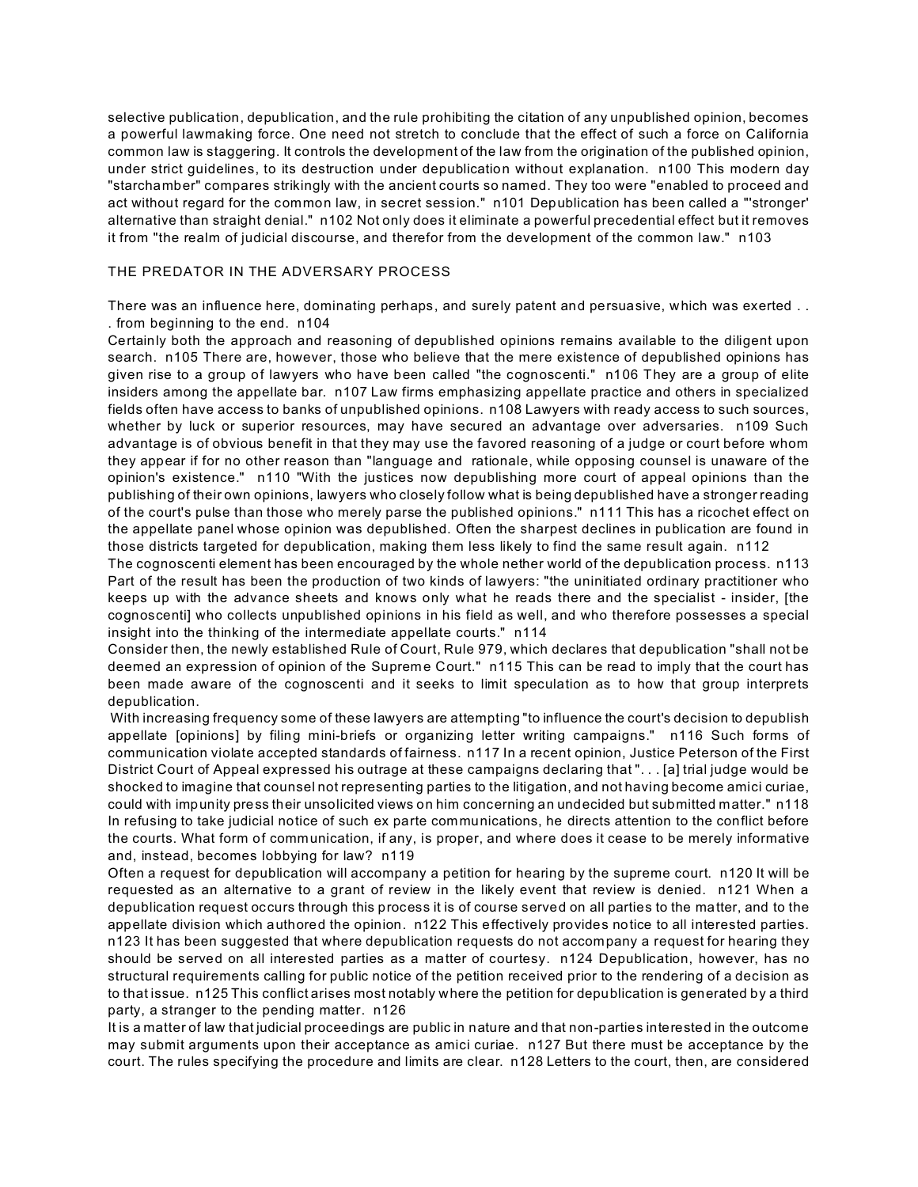selective publication, depublication, and the rule prohibiting the citation of any unpublished opinion, becomes a powerful lawmaking force. One need not stretch to conclude that the effect of such a force on California common law is staggering. It controls the development of the law from the origination of the published opinion, under strict guidelines, to its destruction under depublication without explanation. n100 This modern day "starchamber" compares strikingly with the ancient courts so named. They too were "enabled to proceed and act without regard for the common law, in secret session." n101 Depublication has been called a "'stronger' alternative than straight denial." n102 Not only does it eliminate a powerful precedential effect but it removes it from "the realm of judicial discourse, and therefor from the development of the common law." n103

## THE PREDATOR IN THE ADVERSARY PROCESS

There was an influence here, dominating perhaps, and surely patent and persuasive, which was exerted . . . from beginning to the end. n104

Certainly both the approach and reasoning of depublished opinions remains available to the diligent upon search. n105 There are, however, those who believe that the mere existence of depublished opinions has given rise to a group of lawyers who have been called "the cognoscenti." n106 They are a group of elite insiders among the appellate bar. n107 Law firms emphasizing appellate practice and others in specialized fields often have access to banks of unpublished opinions. n108 Lawyers with ready access to such sources, whether by luck or superior resources, may have secured an advantage over adversaries. n109 Such advantage is of obvious benefit in that they may use the favored reasoning of a judge or court before whom they appear if for no other reason than "language and rationale, while opposing counsel is unaware of the opinion's existence." n110 "With the justices now depublishing more court of appeal opinions than the publishing of their own opinions, lawyers who closely follow what is being depublished have a stronger reading of the court's pulse than those who merely parse the published opinions." n111 This has a ricochet effect on the appellate panel whose opinion was depublished. Often the sharpest declines in publication are found in those districts targeted for depublication, making them less likely to find the same result again. n112

The cognoscenti element has been encouraged by the whole nether world of the depublication process. n113 Part of the result has been the production of two kinds of lawyers: "the uninitiated ordinary practitioner who keeps up with the advance sheets and knows only what he reads there and the specialist - insider, [the cognoscenti] who collects unpublished opinions in his field as well, and who therefore possesses a special insight into the thinking of the intermediate appellate courts." n114

Consider then, the newly established Rule of Court, Rule 979, which declares that depublication "shall not be deemed an expression of opinion of the Supreme Court." n115 This can be read to imply that the court has been made aware of the cognoscenti and it seeks to limit speculation as to how that group interprets depublication.

 With increasing frequency some of these lawyers are attempting "to influence the court's decision to depublish appellate [opinions] by filing mini-briefs or organizing letter writing campaigns." n116 Such forms of communication violate accepted standards of fairness. n117 In a recent opinion, Justice Peterson of the First District Court of Appeal expressed his outrage at these campaigns declaring that ". . . [a] trial judge would be shocked to imagine that counsel not representing parties to the litigation, and not having become amici curiae, could with impunity press their unsolicited views on him concerning an undecided but submitted matter." n118 In refusing to take judicial notice of such ex parte communications, he directs attention to the conflict before the courts. What form of communication, if any, is proper, and where does it cease to be merely informative and, instead, becomes lobbying for law? n119

Often a request for depublication will accompany a petition for hearing by the supreme court. n120 It will be requested as an alternative to a grant of review in the likely event that review is denied. n121 When a depublication request occurs through this process it is of course served on all parties to the matter, and to the appellate division which authored the opinion. n122 This effectively provides notice to all interested parties. n123 It has been suggested that where depublication requests do not accompany a request for hearing they should be served on all interested parties as a matter of courtesy. n124 Depublication, however, has no structural requirements calling for public notice of the petition received prior to the rendering of a decision as to that issue. n125 This conflict arises most notably where the petition for depublication is generated by a third party, a stranger to the pending matter. n126

It is a matter of law that judicial proceedings are public in nature and that non-parties interested in the outcome may submit arguments upon their acceptance as amici curiae. n127 But there must be acceptance by the court. The rules specifying the procedure and limits are clear. n128 Letters to the court, then, are considered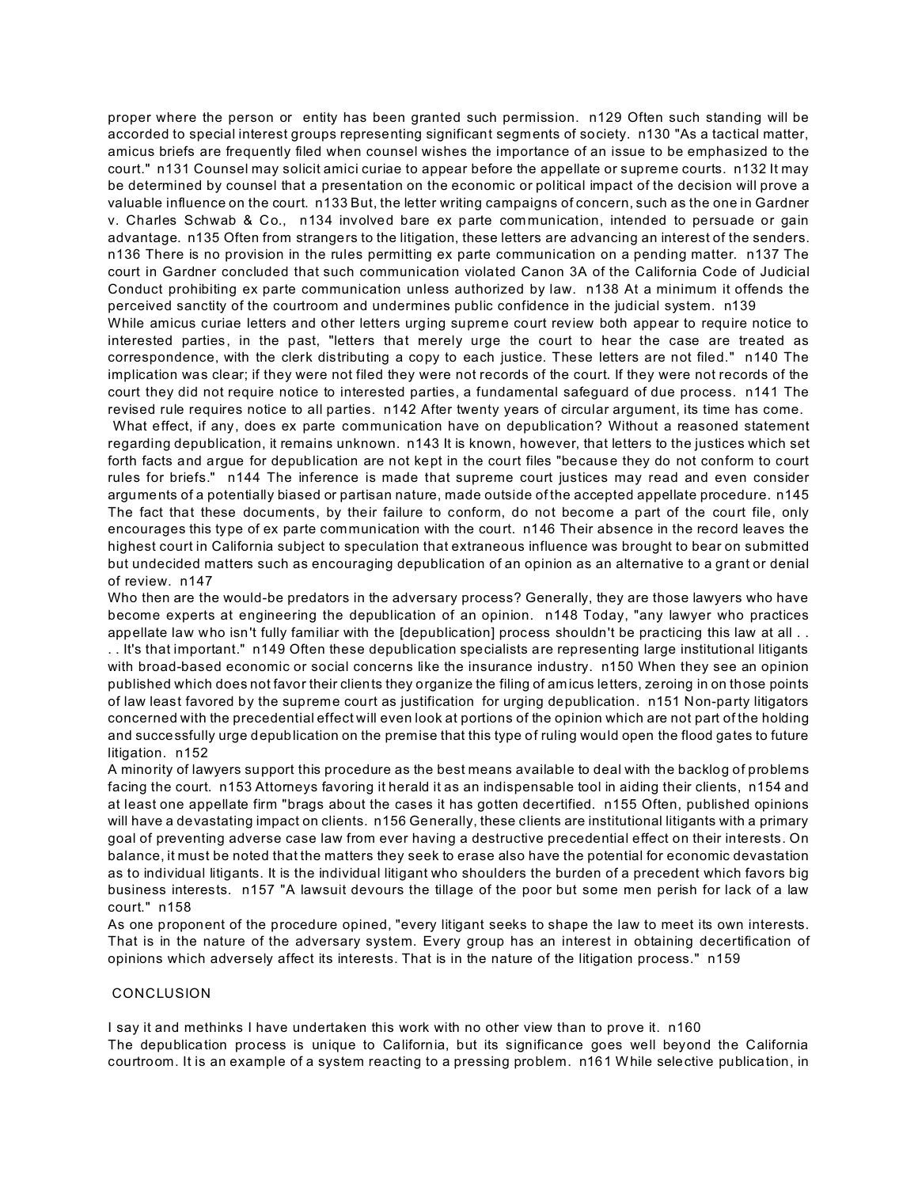proper where the person or entity has been granted such permission. n129 Often such standing will be accorded to special interest groups representing significant segments of society. n130 "As a tactical matter, amicus briefs are frequently filed when counsel wishes the importance of an issue to be emphasized to the court." n131 Counsel may solicit amici curiae to appear before the appellate or supreme courts. n132 It may be determined by counsel that a presentation on the economic or political impact of the decision will prove a valuable influence on the court. n133 But, the letter writing campaigns of concern, such as the one in Gardner v. Charles Schwab & Co., n134 involved bare ex parte communication, intended to persuade or gain advantage. n135 Often from strangers to the litigation, these letters are advancing an interest of the senders. n136 There is no provision in the rules permitting ex parte communication on a pending matter. n137 The court in Gardner concluded that such communication violated Canon 3A of the California Code of Judicial Conduct prohibiting ex parte communication unless authorized by law. n138 At a minimum it offends the perceived sanctity of the courtroom and undermines public confidence in the judicial system. n139

While amicus curiae letters and other letters urging supreme court review both appear to require notice to interested parties, in the past, "letters that merely urge the court to hear the case are treated as correspondence, with the clerk distributing a copy to each justice. These letters are not filed." n140 The implication was clear; if they were not filed they were not records of the court. If they were not records of the court they did not require notice to interested parties, a fundamental safeguard of due process. n141 The revised rule requires notice to all parties. n142 After twenty years of circular argument, its time has come.

 What effect, if any, does ex parte communication have on depublication? Without a reasoned statement regarding depublication, it remains unknown. n143 It is known, however, that letters to the justices which set forth facts and argue for depublication are not kept in the court files "because they do not conform to court rules for briefs." n144 The inference is made that supreme court justices may read and even consider arguments of a potentially biased or partisan nature, made outside of the accepted appellate procedure. n145 The fact that these documents, by their failure to conform, do not become a part of the court file, only encourages this type of ex parte communication with the court. n146 Their absence in the record leaves the highest court in California subject to speculation that extraneous influence was brought to bear on submitted but undecided matters such as encouraging depublication of an opinion as an alternative to a grant or denial of review. n147

Who then are the would-be predators in the adversary process? Generally, they are those lawyers who have become experts at engineering the depublication of an opinion. n148 Today, "any lawyer who practices appellate law who isn't fully familiar with the [depublication] process shouldn't be practicing this law at all .. . . It's that important." n149 Often these depublication specialists are representing large institutional litigants with broad-based economic or social concerns like the insurance industry. n150 When they see an opinion published which does not favor their clients they organize the filing of amicus letters, zeroing in on those points of law least favored by the supreme court as justification for urging depublication. n151 Non-party litigators concerned with the precedential effect will even look at portions of the opinion which are not part of the holding and successfully urge depublication on the premise that this type of ruling would open the flood gates to future litigation. n152

A minority of lawyers support this procedure as the best means available to deal with the backlog of problems facing the court. n153 Attorneys favoring it herald it as an indispensable tool in aiding their clients, n154 and at least one appellate firm "brags about the cases it has gotten decertified. n155 Often, published opinions will have a devastating impact on clients. n156 Generally, these clients are institutional litigants with a primary goal of preventing adverse case law from ever having a destructive precedential effect on their interests. On balance, it must be noted that the matters they seek to erase also have the potential for economic devastation as to individual litigants. It is the individual litigant who shoulders the burden of a precedent which favors big business interests. n157 "A lawsuit devours the tillage of the poor but some men perish for lack of a law court." n158

As one proponent of the procedure opined, "every litigant seeks to shape the law to meet its own interests. That is in the nature of the adversary system. Every group has an interest in obtaining decertification of opinions which adversely affect its interests. That is in the nature of the litigation process." n159

### **CONCLUSION**

I say it and methinks I have undertaken this work with no other view than to prove it. n160

The depublication process is unique to California, but its significance goes well beyond the California courtroom. It is an example of a system reacting to a pressing problem. n161 While selective publication, in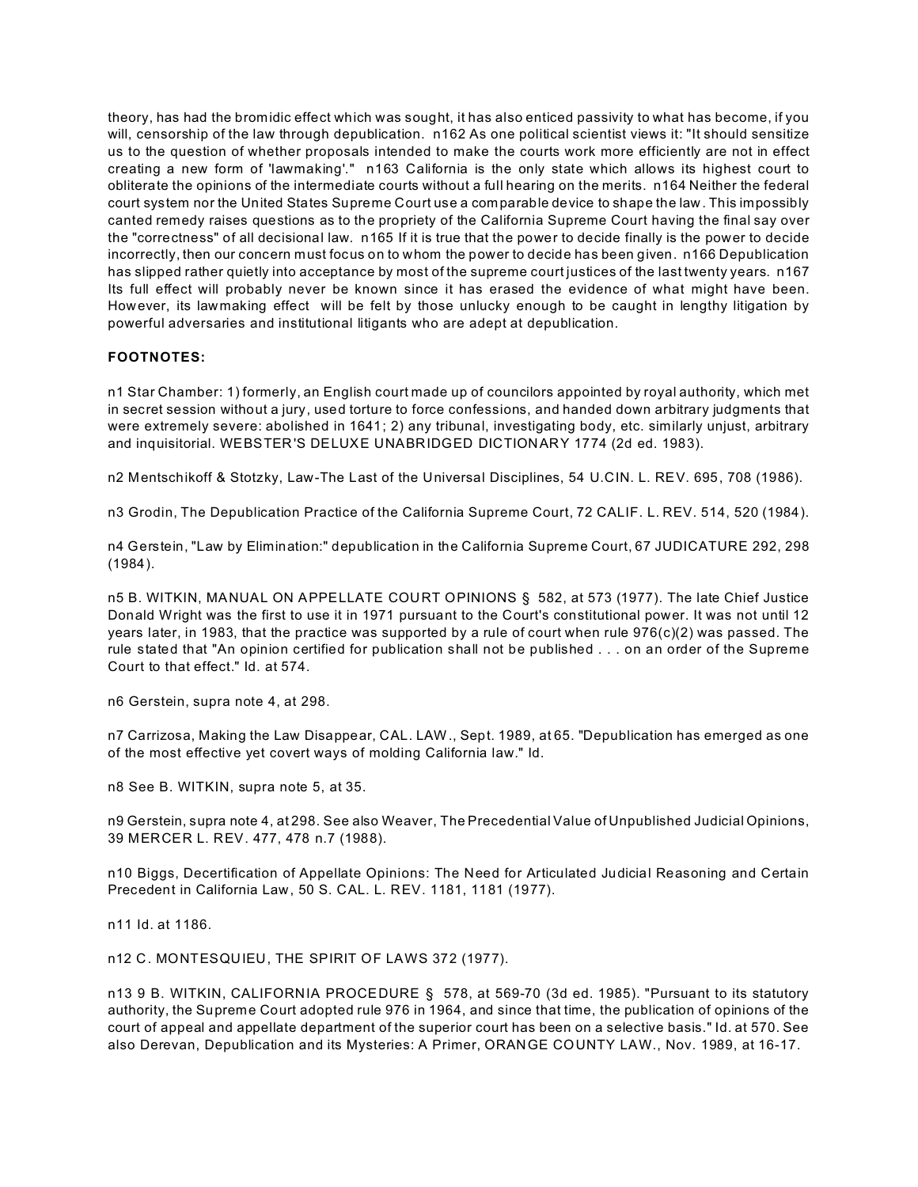theory, has had the bromidic effect which was sought, it has also enticed passivity to what has become, if you will, censorship of the law through depublication. n162 As one political scientist views it: "It should sensitize us to the question of whether proposals intended to make the courts work more efficiently are not in effect creating a new form of 'lawmaking'." n163 California is the only state which allows its highest court to obliterate the opinions of the intermediate courts without a full hearing on the merits. n164 Neither the federal court system nor the United States Supreme Court use a com parable device to shape the law. This impossibly canted remedy raises questions as to the propriety of the California Supreme Court having the final say over the "correctness" of all decisional law. n165 If it is true that the power to decide finally is the power to decide incorrectly, then our concern must focus on to whom the power to decide has been given. n166 Depublication has slipped rather quietly into acceptance by most of the supreme court justices of the last twenty years. n167 Its full effect will probably never be known since it has erased the evidence of what might have been. However, its lawmaking effect will be felt by those unlucky enough to be caught in lengthy litigation by powerful adversaries and institutional litigants who are adept at depublication.

## **FOOTNOTES:**

n1 Star Chamber: 1) formerly, an English court made up of councilors appointed by royal authority, which met in secret session without a jury, used torture to force confessions, and handed down arbitrary judgments that were extremely severe: abolished in 1641; 2) any tribunal, investigating body, etc. similarly unjust, arbitrary and inquisitorial. WEBSTER'S DELUXE UNABRIDGED DICTIONARY 1774 (2d ed. 1983).

n2 Mentschikoff & Stotzky, Law-The Last of the Universal Disciplines, 54 U.CIN. L. REV. 695, 708 (1986).

n3 Grodin, The Depublication Practice of the California Supreme Court, 72 CALIF. L. REV. 514, 520 (1984).

n4 Gerstein, "Law by Elimination:" depublication in the California Supreme Court, 67 JUDICATURE 292, 298 (1984).

n5 B. WITKIN, MANUAL ON APPELLATE COURT OPINIONS § 582, at 573 (1977). The late Chief Justice Donald Wright was the first to use it in 1971 pursuant to the Court's constitutional power. It was not until 12 years later, in 1983, that the practice was supported by a rule of court when rule 976(c)(2) was passed. The rule stated that "An opinion certified for publication shall not be published . . . on an order of the Supreme Court to that effect." Id. at 574.

n6 Gerstein, supra note 4, at 298.

n7 Carrizosa, Making the Law Disappear, CAL. LAW., Sept. 1989, at 65. "Depublication has emerged as one of the most effective yet covert ways of molding California law." Id.

n8 See B. WITKIN, supra note 5, at 35.

n9 Gerstein, supra note 4, at 298. See also Weaver, The Precedential Value of Unpublished Judicial Opinions, 39 MERCER L. REV. 477, 478 n.7 (1988).

n10 Biggs, Decertification of Appellate Opinions: The Need for Articulated Judicial Reasoning and Certain Precedent in California Law, 50 S. CAL. L. REV. 1181, 1181 (1977).

n11 Id. at 1186.

n12 C. MONTESQUIEU, THE SPIRIT OF LAWS 372 (1977).

n13 9 B. WITKIN, CALIFORNIA PROCEDURE § 578, at 569-70 (3d ed. 1985). "Pursuant to its statutory authority, the Supreme Court adopted rule 976 in 1964, and since that time, the publication of opinions of the court of appeal and appellate department of the superior court has been on a selective basis." Id. at 570. See also Derevan, Depublication and its Mysteries: A Primer, ORANGE COUNTY LAW., Nov. 1989, at 16-17.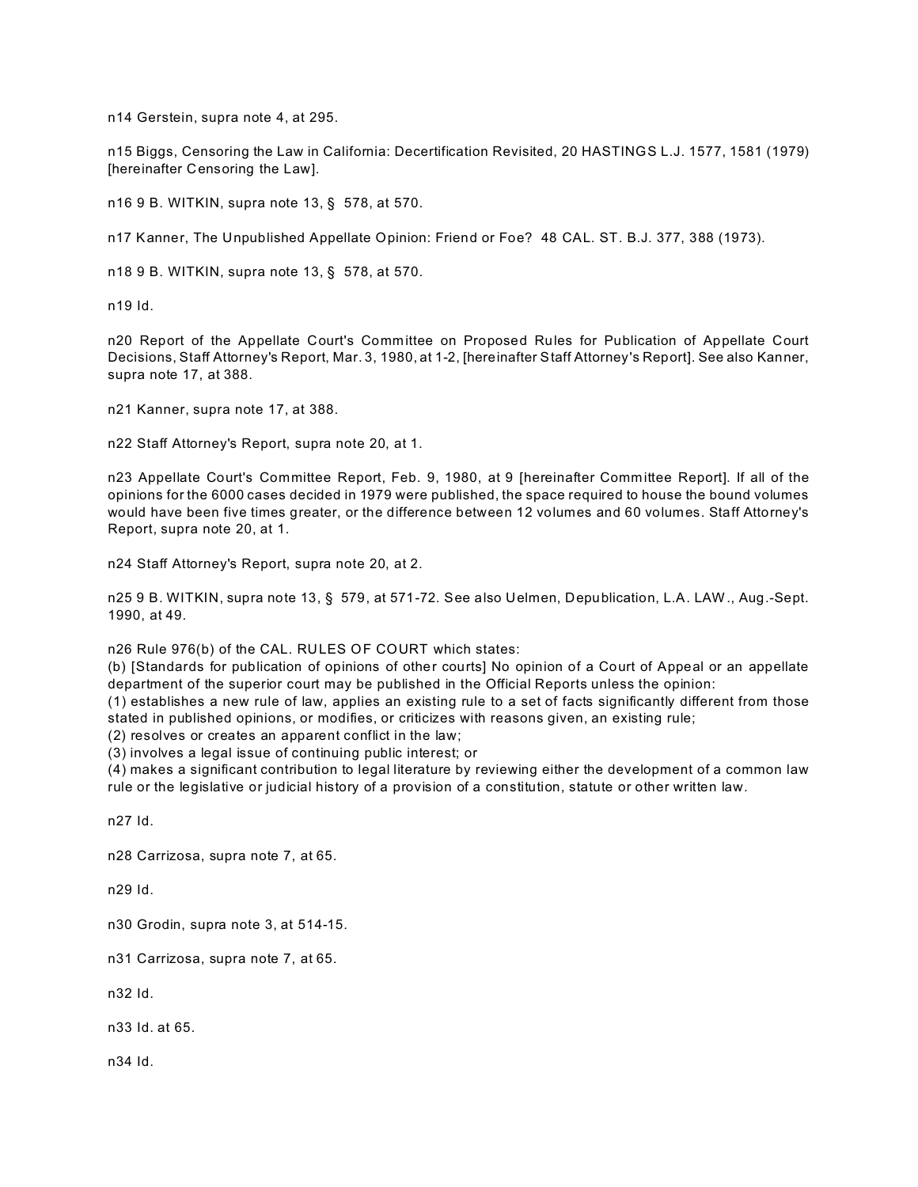n14 Gerstein, supra note 4, at 295.

n15 Biggs, Censoring the Law in California: Decertification Revisited, 20 HASTINGS L.J. 1577, 1581 (1979) [hereinafter Censoring the Law].

n16 9 B. WITKIN, supra note 13, § 578, at 570.

n17 Kanner, The Unpublished Appellate Opinion: Friend or Foe? 48 CAL. ST. B.J. 377, 388 (1973).

n18 9 B. WITKIN, supra note 13, § 578, at 570.

n19 Id.

n20 Report of the Appellate Court's Committee on Proposed Rules for Publication of Appellate Court Decisions, Staff Attorney's Report, Mar. 3, 1980, at 1-2, [hereinafter Staff Attorney's Report]. See also Kanner, supra note 17, at 388.

n21 Kanner, supra note 17, at 388.

n22 Staff Attorney's Report, supra note 20, at 1.

n23 Appellate Court's Committee Report, Feb. 9, 1980, at 9 [hereinafter Committee Report]. If all of the opinions for the 6000 cases decided in 1979 were published, the space required to house the bound volumes would have been five times greater, or the difference between 12 volumes and 60 volumes. Staff Attorney's Report, supra note 20, at 1.

n24 Staff Attorney's Report, supra note 20, at 2.

n25 9 B. WITKIN, supra note 13, § 579, at 571-72. See also Uelmen, Depublication, L.A. LAW., Aug.-Sept. 1990, at 49.

n26 Rule 976(b) of the CAL. RULES OF COURT which states:

(b) [Standards for publication of opinions of other courts] No opinion of a Court of Appeal or an appellate department of the superior court may be published in the Official Reports unless the opinion:

(1) establishes a new rule of law, applies an existing rule to a set of facts significantly different from those stated in published opinions, or modifies, or criticizes with reasons given, an existing rule;

(2) resolves or creates an apparent conflict in the law;

(3) involves a legal issue of continuing public interest; or

(4) makes a significant contribution to legal literature by reviewing either the development of a common law rule or the legislative or judicial history of a provision of a constitution, statute or other written law.

n27 Id.

n28 Carrizosa, supra note 7, at 65.

n29 Id.

n30 Grodin, supra note 3, at 514-15.

n31 Carrizosa, supra note 7, at 65.

n32 Id.

n33 Id. at 65.

n34 Id.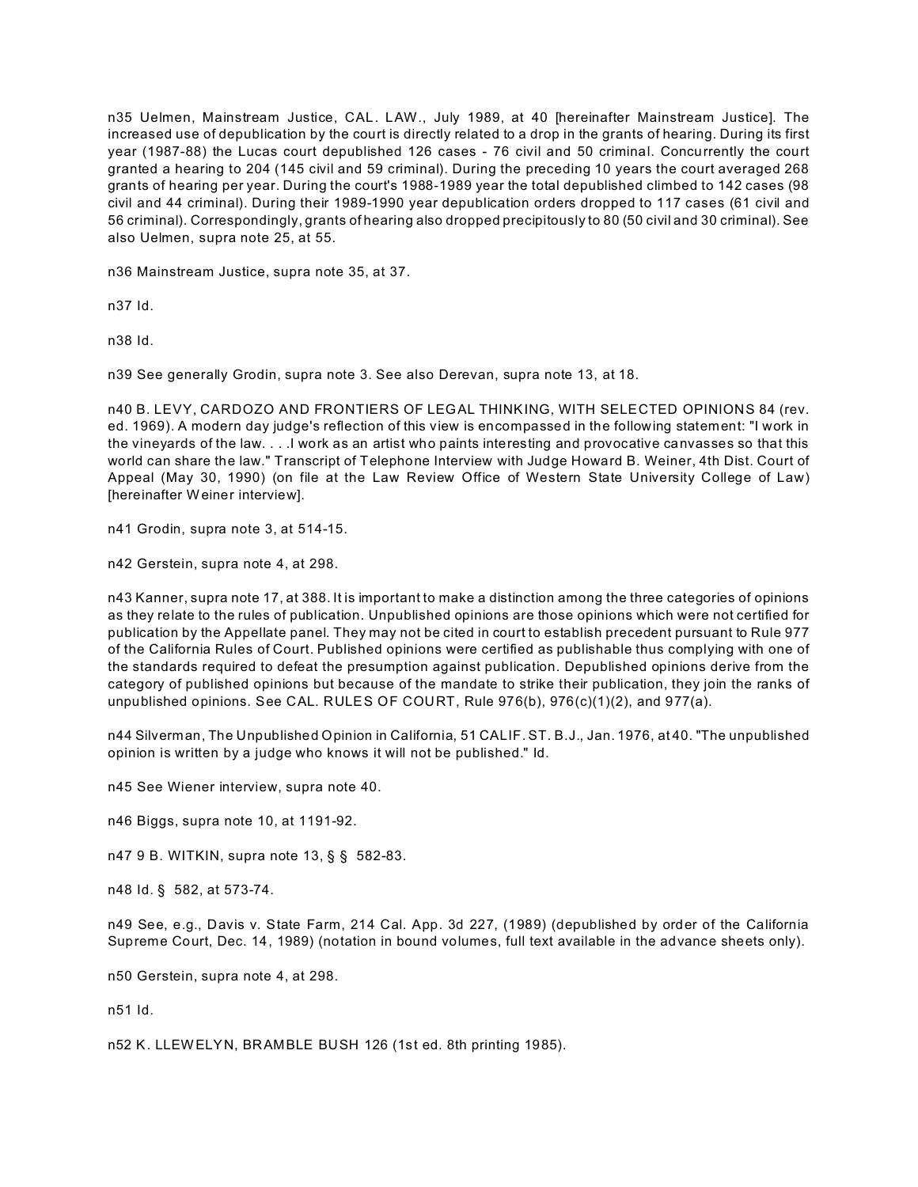n35 Uelmen, Mainstream Justice, CAL. LAW., July 1989, at 40 [hereinafter Mainstream Justice]. The increased use of depublication by the court is directly related to a drop in the grants of hearing. During its first year (1987-88) the Lucas court depublished 126 cases - 76 civil and 50 criminal. Concurrently the court granted a hearing to 204 (145 civil and 59 criminal). During the preceding 10 years the court averaged 268 grants of hearing per year. During the court's 1988-1989 year the total depublished climbed to 142 cases (98 civil and 44 criminal). During their 1989-1990 year depublication orders dropped to 117 cases (61 civil and 56 criminal). Correspondingly, grants of hearing also dropped precipitously to 80 (50 civil and 30 criminal). See also Uelmen, supra note 25, at 55.

n36 Mainstream Justice, supra note 35, at 37.

n37 Id.

n38 Id.

n39 See generally Grodin, supra note 3. See also Derevan, supra note 13, at 18.

n40 B. LEVY, CARDOZO AND FRONTIERS OF LEGAL THINKING, WITH SELECTED OPINIONS 84 (rev. ed. 1969). A modern day judge's reflection of this view is encompassed in the following statement: "I work in the vineyards of the law. . . .I work as an artist who paints interesting and provocative canvasses so that this world can share the law." Transcript of Telephone Interview with Judge Howard B. Weiner, 4th Dist. Court of Appeal (May 30, 1990) (on file at the Law Review Office of Western State University College of Law) [hereinafter Weiner interview].

n41 Grodin, supra note 3, at 514-15.

n42 Gerstein, supra note 4, at 298.

n43 Kanner, supra note 17, at 388. It is important to make a distinction among the three categories of opinions as they relate to the rules of publication. Unpublished opinions are those opinions which were not certified for publication by the Appellate panel. They may not be cited in court to establish precedent pursuant to Rule 977 of the California Rules of Court. Published opinions were certified as publishable thus complying with one of the standards required to defeat the presumption against publication. Depublished opinions derive from the category of published opinions but because of the mandate to strike their publication, they join the ranks of unpublished opinions. See CAL. RULES OF COURT, Rule 976(b), 976(c)(1)(2), and 977(a).

n44 Silverman, The Unpublished Opinion in California, 51 CALIF. ST. B.J., Jan. 1976, at 40. "The unpublished opinion is written by a judge who knows it will not be published." Id.

n45 See Wiener interview, supra note 40.

n46 Biggs, supra note 10, at 1191-92.

n47 9 B. WITKIN, supra note 13, § § 582-83.

n48 Id. § 582, at 573-74.

n49 See, e.g., Davis v. State Farm, 214 Cal. App. 3d 227, (1989) (depublished by order of the California Supreme Court, Dec. 14, 1989) (notation in bound volumes, full text available in the advance sheets only).

n50 Gerstein, supra note 4, at 298.

n51 Id.

n52 K. LLEWELYN, BRAMBLE BUSH 126 (1st ed. 8th printing 1985).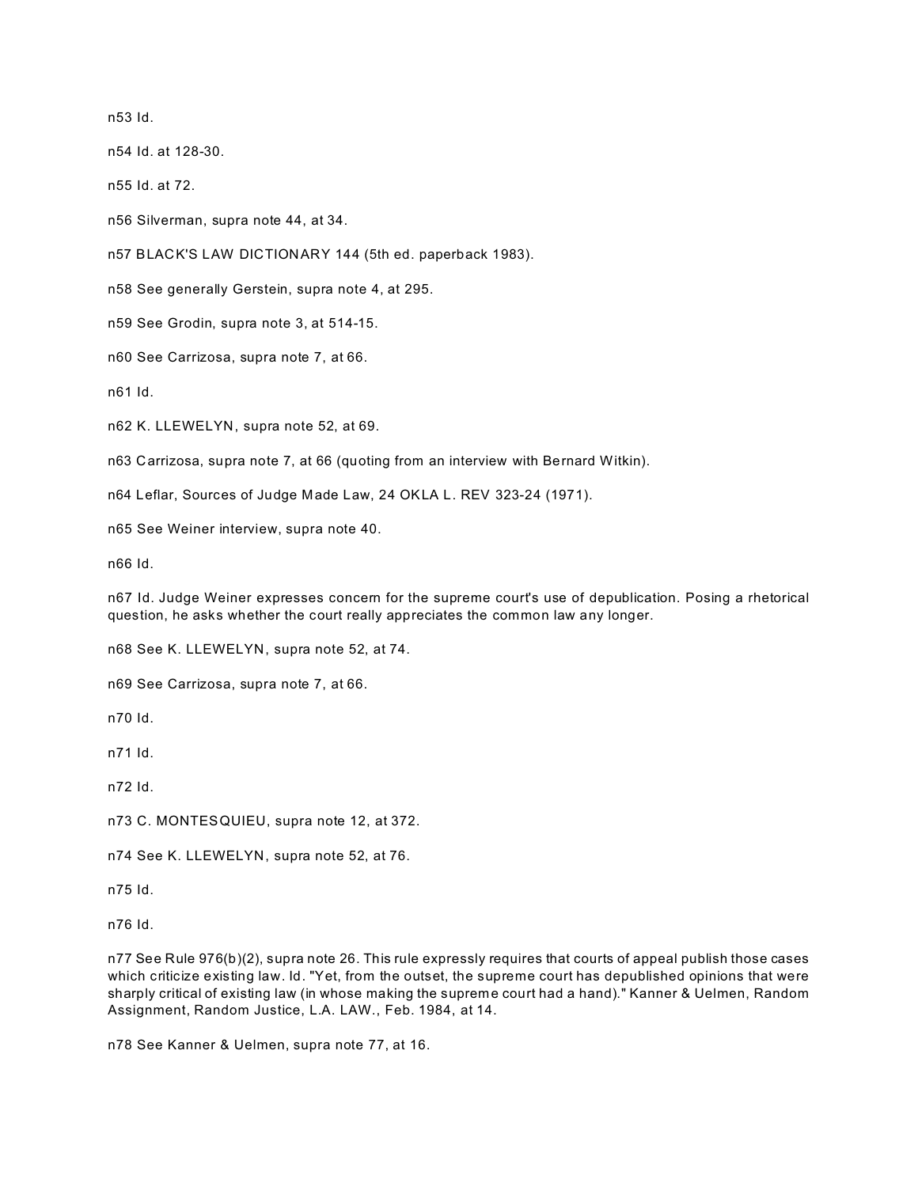n53 Id.

n54 Id. at 128-30.

n55 Id. at 72.

n56 Silverman, supra note 44, at 34.

n57 BLACK'S LAW DICTIONARY 144 (5th ed. paperback 1983).

n58 See generally Gerstein, supra note 4, at 295.

n59 See Grodin, supra note 3, at 514-15.

n60 See Carrizosa, supra note 7, at 66.

n61 Id.

n62 K. LLEWELYN, supra note 52, at 69.

n63 Carrizosa, supra note 7, at 66 (quoting from an interview with Bernard Witkin).

n64 Leflar, Sources of Judge Made Law, 24 OKLA L. REV 323-24 (1971).

n65 See Weiner interview, supra note 40.

n66 Id.

n67 Id. Judge Weiner expresses concern for the supreme court's use of depublication. Posing a rhetorical question, he asks whether the court really appreciates the common law any longer.

n68 See K. LLEWELYN, supra note 52, at 74.

n69 See Carrizosa, supra note 7, at 66.

n70 Id.

n71 Id.

n72 Id.

n73 C. MONTESQUIEU, supra note 12, at 372.

n74 See K. LLEWELYN, supra note 52, at 76.

n75 Id.

n76 Id.

n77 See Rule 976(b)(2), supra note 26. This rule expressly requires that courts of appeal publish those cases which criticize existing law. Id. "Yet, from the outset, the supreme court has depublished opinions that were sharply critical of existing law (in whose making the supreme court had a hand)." Kanner & Uelmen, Random Assignment, Random Justice, L.A. LAW., Feb. 1984, at 14.

n78 See Kanner & Uelmen, supra note 77, at 16.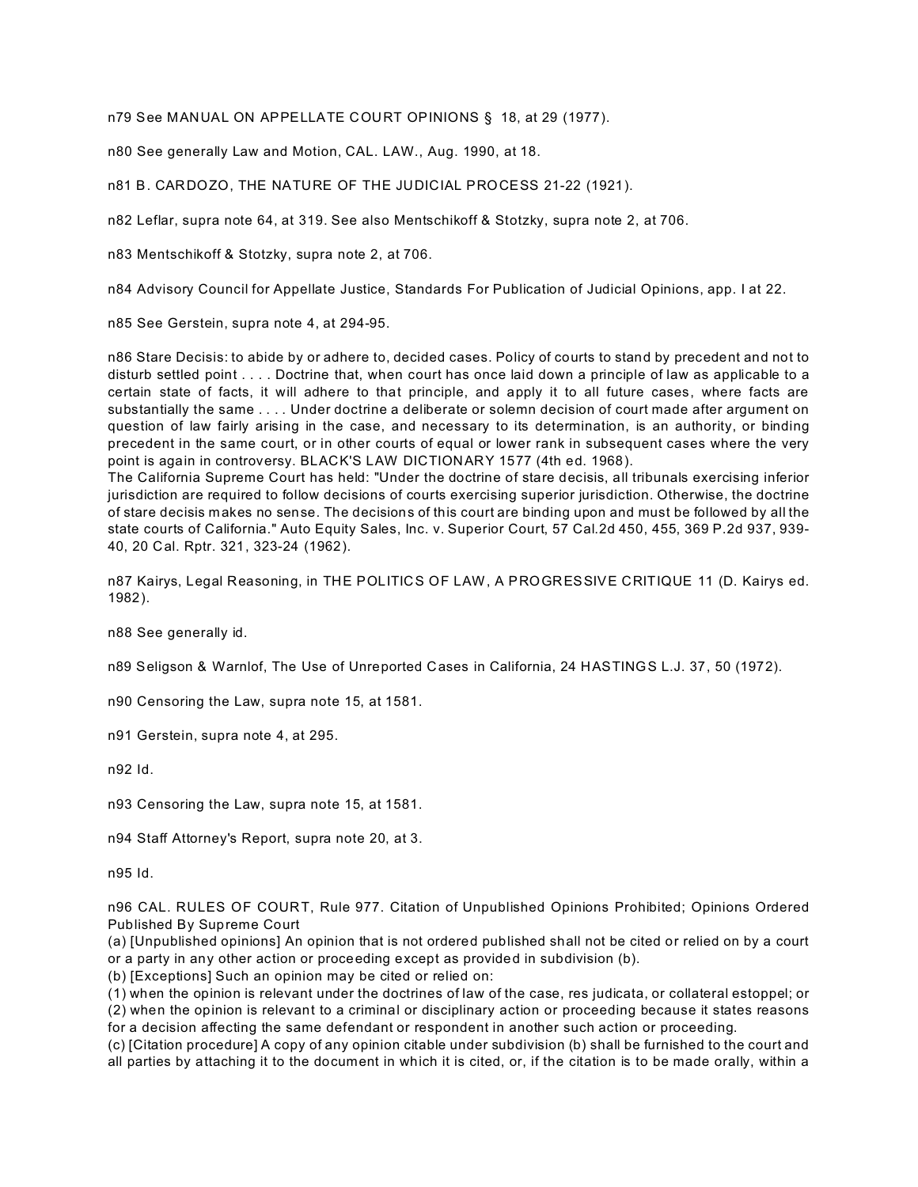n79 See MANUAL ON APPELLATE COURT OPINIONS § 18, at 29 (1977).

n80 See generally Law and Motion, CAL. LAW., Aug. 1990, at 18.

n81 B. CARDOZO, THE NATURE OF THE JUDICIAL PROCESS 21-22 (1921).

n82 Leflar, supra note 64, at 319. See also Mentschikoff & Stotzky, supra note 2, at 706.

n83 Mentschikoff & Stotzky, supra note 2, at 706.

n84 Advisory Council for Appellate Justice, Standards For Publication of Judicial Opinions, app. I at 22.

n85 See Gerstein, supra note 4, at 294-95.

n86 Stare Decisis: to abide by or adhere to, decided cases. Policy of courts to stand by precedent and not to disturb settled point . . . . Doctrine that, when court has once laid down a principle of law as applicable to a certain state of facts, it will adhere to that principle, and apply it to all future cases, where facts are substantially the same . . . . Under doctrine a deliberate or solemn decision of court made after argument on question of law fairly arising in the case, and necessary to its determination, is an authority, or binding precedent in the same court, or in other courts of equal or lower rank in subsequent cases where the very point is again in controversy. BLACK'S LAW DICTIONARY 1577 (4th ed. 1968).

The California Supreme Court has held: "Under the doctrine of stare decisis, all tribunals exercising inferior jurisdiction are required to follow decisions of courts exercising superior jurisdiction. Otherwise, the doctrine of stare decisis makes no sense. The decisions of this court are binding upon and must be followed by all the state courts of California." Auto Equity Sales, Inc. v. Superior Court, 57 Cal.2d 450, 455, 369 P.2d 937, 939- 40, 20 Cal. Rptr. 321, 323-24 (1962).

n87 Kairys, Legal Reasoning, in THE POLITICS OF LAW, A PROGRESSIVE CRITIQUE 11 (D. Kairys ed. 1982).

n88 See generally id.

n89 Seligson & Warnlof, The Use of Unreported Cases in California, 24 HASTINGS L.J. 37, 50 (1972).

n90 Censoring the Law, supra note 15, at 1581.

n91 Gerstein, supra note 4, at 295.

n92 Id.

n93 Censoring the Law, supra note 15, at 1581.

n94 Staff Attorney's Report, supra note 20, at 3.

n95 Id.

n96 CAL. RULES OF COURT, Rule 977. Citation of Unpublished Opinions Prohibited; Opinions Ordered Published By Supreme Court

(a) [Unpublished opinions] An opinion that is not ordered published shall not be cited or relied on by a court or a party in any other action or proceeding except as provided in subdivision (b).

(b) [Exceptions] Such an opinion may be cited or relied on:

(1) when the opinion is relevant under the doctrines of law of the case, res judicata, or collateral estoppel; or (2) when the opinion is relevant to a criminal or disciplinary action or proceeding because it states reasons for a decision affecting the same defendant or respondent in another such action or proceeding.

(c) [Citation procedure] A copy of any opinion citable under subdivision (b) shall be furnished to the court and all parties by attaching it to the document in which it is cited, or, if the citation is to be made orally, within a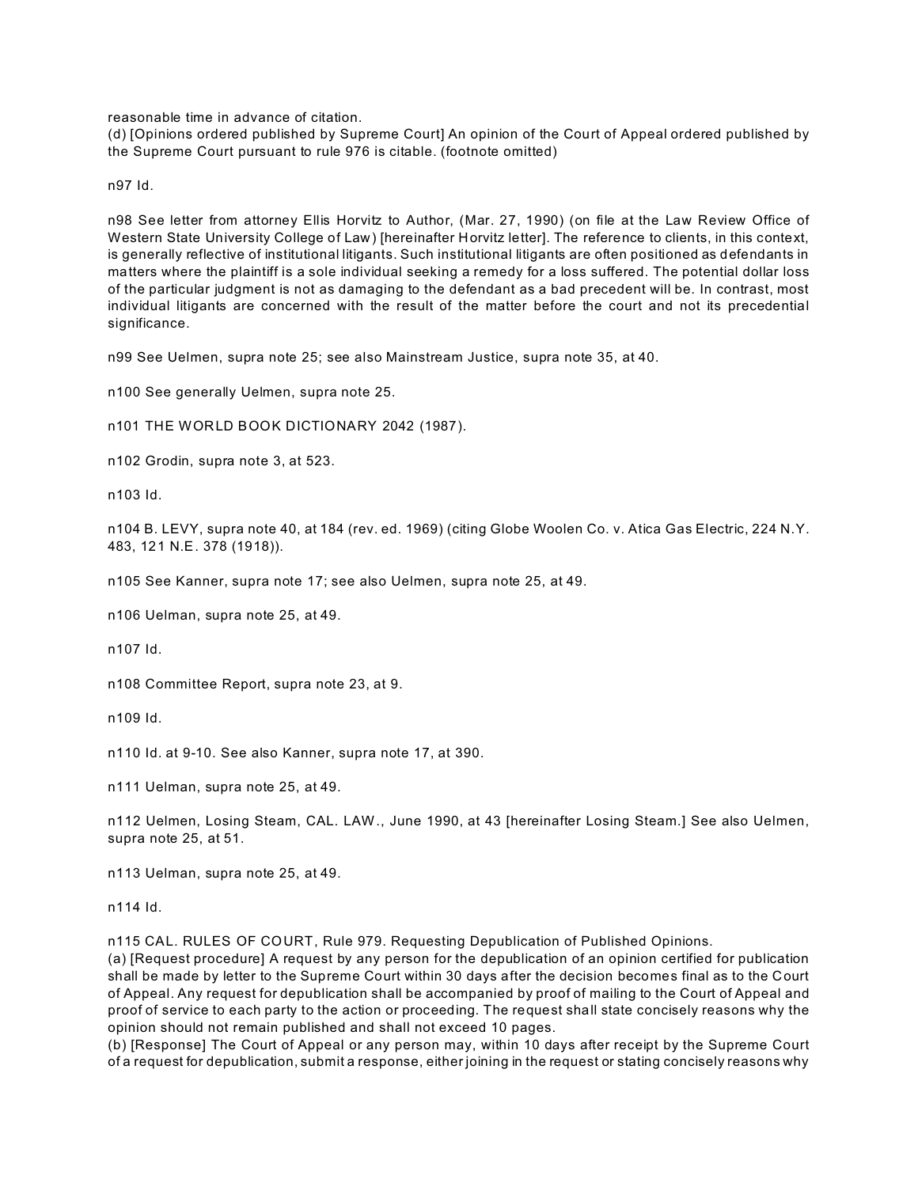reasonable time in advance of citation.

(d) [Opinions ordered published by Supreme Court] An opinion of the Court of Appeal ordered published by the Supreme Court pursuant to rule 976 is citable. (footnote omitted)

n97 Id.

n98 See letter from attorney Ellis Horvitz to Author, (Mar. 27, 1990) (on file at the Law Review Office of Western State University College of Law) [hereinafter Horvitz letter]. The reference to clients, in this context, is generally reflective of institutional litigants. Such institutional litigants are often positioned as defendants in matters where the plaintiff is a sole individual seeking a remedy for a loss suffered. The potential dollar loss of the particular judgment is not as damaging to the defendant as a bad precedent will be. In contrast, most individual litigants are concerned with the result of the matter before the court and not its precedential significance.

n99 See Uelmen, supra note 25; see also Mainstream Justice, supra note 35, at 40.

n100 See generally Uelmen, supra note 25.

n101 THE WORLD BOOK DICTIONARY 2042 (1987).

n102 Grodin, supra note 3, at 523.

n103 Id.

n104 B. LEVY, supra note 40, at 184 (rev. ed. 1969) (citing Globe Woolen Co. v. Atica Gas Electric, 224 N.Y. 483, 121 N.E. 378 (1918)).

n105 See Kanner, supra note 17; see also Uelmen, supra note 25, at 49.

n106 Uelman, supra note 25, at 49.

n107 Id.

n108 Committee Report, supra note 23, at 9.

n109 Id.

n110 Id. at 9-10. See also Kanner, supra note 17, at 390.

n111 Uelman, supra note 25, at 49.

n112 Uelmen, Losing Steam, CAL. LAW., June 1990, at 43 [hereinafter Losing Steam.] See also Uelmen, supra note 25, at 51.

n113 Uelman, supra note 25, at 49.

n114 Id.

n115 CAL. RULES OF COURT, Rule 979. Requesting Depublication of Published Opinions.

(a) [Request procedure] A request by any person for the depublication of an opinion certified for publication shall be made by letter to the Supreme Court within 30 days after the decision becomes final as to the Court of Appeal. Any request for depublication shall be accompanied by proof of mailing to the Court of Appeal and proof of service to each party to the action or proceeding. The request shall state concisely reasons why the opinion should not remain published and shall not exceed 10 pages.

(b) [Response] The Court of Appeal or any person may, within 10 days after receipt by the Supreme Court of a request for depublication, submit a response, either joining in the request or stating concisely reasons why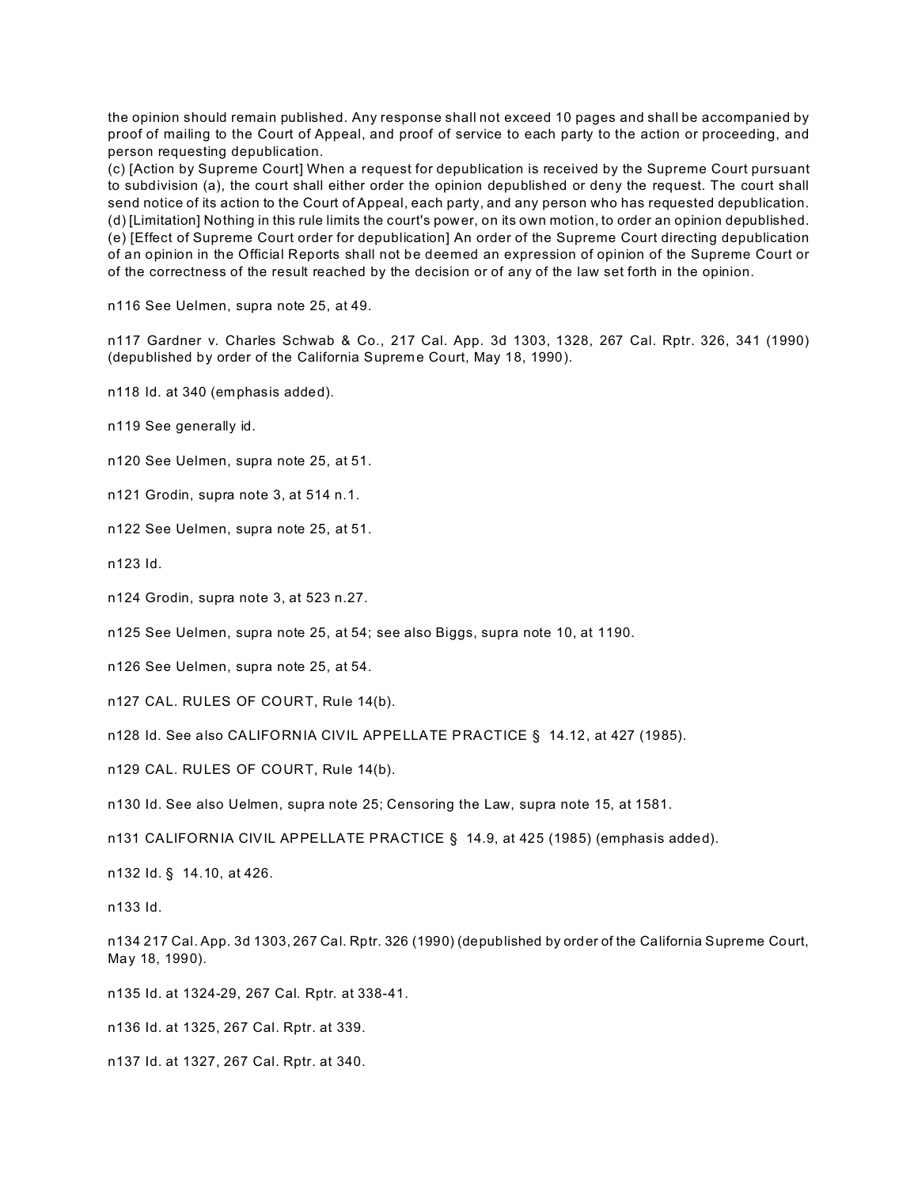the opinion should remain published. Any response shall not exceed 10 pages and shall be accompanied by proof of mailing to the Court of Appeal, and proof of service to each party to the action or proceeding, and person requesting depublication.

(c) [Action by Supreme Court] When a request for depublication is received by the Supreme Court pursuant to subdivision (a), the court shall either order the opinion depublished or deny the request. The court shall send notice of its action to the Court of Appeal, each party, and any person who has requested depublication. (d) [Limitation] Nothing in this rule limits the court's power, on its own motion, to order an opinion depublished. (e) [Effect of Supreme Court order for depublication] An order of the Supreme Court directing depublication of an opinion in the Official Reports shall not be deemed an expression of opinion of the Supreme Court or of the correctness of the result reached by the decision or of any of the law set forth in the opinion.

n116 See Uelmen, supra note 25, at 49.

n117 Gardner v. Charles Schwab & Co., 217 Cal. App. 3d 1303, 1328, 267 Cal. Rptr. 326, 341 (1990) (depublished by order of the California Supreme Court, May 18, 1990).

n118 Id. at 340 (emphasis added).

n119 See generally id.

n120 See Uelmen, supra note 25, at 51.

n121 Grodin, supra note 3, at 514 n.1.

n122 See Uelmen, supra note 25, at 51.

n123 Id.

n124 Grodin, supra note 3, at 523 n.27.

n125 See Uelmen, supra note 25, at 54; see also Biggs, supra note 10, at 1190.

n126 See Uelmen, supra note 25, at 54.

n127 CAL. RULES OF COURT, Rule 14(b).

n128 Id. See also CALIFORNIA CIVIL APPELLATE PRACTICE § 14.12, at 427 (1985).

n129 CAL. RULES OF COURT, Rule 14(b).

n130 Id. See also Uelmen, supra note 25; Censoring the Law, supra note 15, at 1581.

n131 CALIFORNIA CIVIL APPELLATE PRACTICE § 14.9, at 425 (1985) (emphasis added).

n132 Id. § 14.10, at 426.

n133 Id.

n134 217 Cal. App. 3d 1303, 267 Cal. Rptr. 326 (1990) (depublished by order of the California Supreme Court, May 18, 1990).

n135 Id. at 1324-29, 267 Cal. Rptr. at 338-41.

n136 Id. at 1325, 267 Cal. Rptr. at 339.

n137 Id. at 1327, 267 Cal. Rptr. at 340.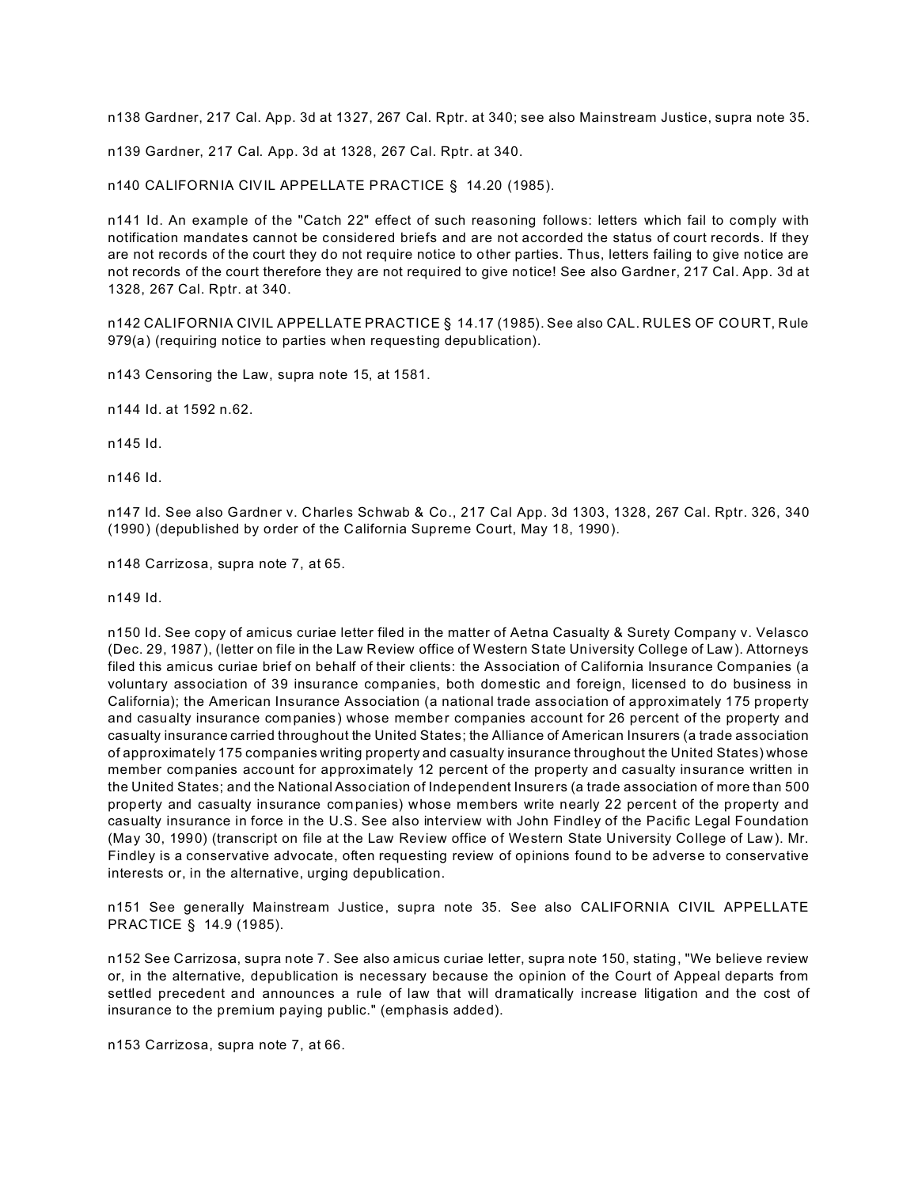n138 Gardner, 217 Cal. App. 3d at 1327, 267 Cal. Rptr. at 340; see also Mainstream Justice, supra note 35.

n139 Gardner, 217 Cal. App. 3d at 1328, 267 Cal. Rptr. at 340.

n140 CALIFORNIA CIVIL APPELLATE PRACTICE § 14.20 (1985).

n141 Id. An example of the "Catch 22" effect of such reasoning follows: letters which fail to comply with notification mandates cannot be considered briefs and are not accorded the status of court records. If they are not records of the court they do not require notice to other parties. Thus, letters failing to give notice are not records of the court therefore they are not required to give notice! See also Gardner, 217 Cal. App. 3d at 1328, 267 Cal. Rptr. at 340.

n142 CALIFORNIA CIVIL APPELLATE PRACTICE § 14.17 (1985). See also CAL. RULES OF COURT, Rule 979(a) (requiring notice to parties when requesting depublication).

n143 Censoring the Law, supra note 15, at 1581.

n144 Id. at 1592 n.62.

n145 Id.

n146 Id.

n147 Id. See also Gardner v. Charles Schwab & Co., 217 Cal App. 3d 1303, 1328, 267 Cal. Rptr. 326, 340 (1990) (depublished by order of the California Supreme Court, May 18, 1990).

n148 Carrizosa, supra note 7, at 65.

n149 Id.

n150 Id. See copy of amicus curiae letter filed in the matter of Aetna Casualty & Surety Company v. Velasco (Dec. 29, 1987), (letter on file in the Law Review office of Western State University College of Law). Attorneys filed this amicus curiae brief on behalf of their clients: the Association of California Insurance Companies (a voluntary association of 39 insurance companies, both domestic and foreign, licensed to do business in California); the American Insurance Association (a national trade association of approximately 175 property and casualty insurance companies) whose member companies account for 26 percent of the property and casualty insurance carried throughout the United States; the Alliance of American Insurers (a trade association of approximately 175 companies writing property and casualty insurance throughout the United States) whose member companies account for approximately 12 percent of the property and casualty insurance written in the United States; and the National Association of Independent Insurers (a trade association of more than 500 property and casualty insurance companies) whose members write nearly 22 percent of the property and casualty insurance in force in the U.S. See also interview with John Findley of the Pacific Legal Foundation (May 30, 1990) (transcript on file at the Law Review office of Western State University College of Law). Mr. Findley is a conservative advocate, often requesting review of opinions found to be adverse to conservative interests or, in the alternative, urging depublication.

n151 See generally Mainstream Justice, supra note 35. See also CALIFORNIA CIVIL APPELLATE PRACTICE § 14.9 (1985).

n152 See Carrizosa, supra note 7. See also amicus curiae letter, supra note 150, stating, "We believe review or, in the alternative, depublication is necessary because the opinion of the Court of Appeal departs from settled precedent and announces a rule of law that will dramatically increase litigation and the cost of insurance to the premium paying public." (emphasis added).

n153 Carrizosa, supra note 7, at 66.